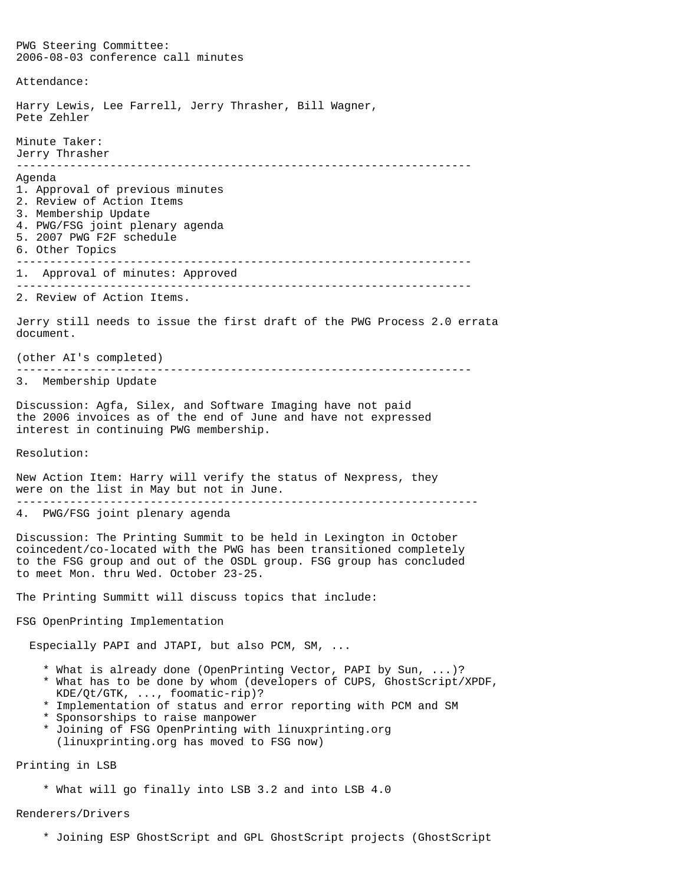PWG Steering Committee: 2006-08-03 conference call minutes Attendance: Harry Lewis, Lee Farrell, Jerry Thrasher, Bill Wagner, Pete Zehler Minute Taker: Jerry Thrasher -------------------------------------------------------------------- Agenda 1. Approval of previous minutes 2. Review of Action Items 3. Membership Update 4. PWG/FSG joint plenary agenda 5. 2007 PWG F2F schedule 6. Other Topics -------------------------------------------------------------------- 1. Approval of minutes: Approved -------------------------------------------------------------------- 2. Review of Action Items. Jerry still needs to issue the first draft of the PWG Process 2.0 errata document. (other AI's completed) -------------------------------------------------------------------- 3. Membership Update Discussion: Agfa, Silex, and Software Imaging have not paid the 2006 invoices as of the end of June and have not expressed interest in continuing PWG membership. Resolution: New Action Item: Harry will verify the status of Nexpress, they were on the list in May but not in June. --------------------------------------------------------------------- 4. PWG/FSG joint plenary agenda Discussion: The Printing Summit to be held in Lexington in October coincedent/co-located with the PWG has been transitioned completely to the FSG group and out of the OSDL group. FSG group has concluded to meet Mon. thru Wed. October 23-25. The Printing Summitt will discuss topics that include: FSG OpenPrinting Implementation Especially PAPI and JTAPI, but also PCM, SM, ... \* What is already done (OpenPrinting Vector, PAPI by Sun, ...)? \* What has to be done by whom (developers of CUPS, GhostScript/XPDF, KDE/Qt/GTK, ..., foomatic-rip)? \* Implementation of status and error reporting with PCM and SM \* Sponsorships to raise manpower \* Joining of FSG OpenPrinting with linuxprinting.org (linuxprinting.org has moved to FSG now) Printing in LSB \* What will go finally into LSB 3.2 and into LSB 4.0

Renderers/Drivers

\* Joining ESP GhostScript and GPL GhostScript projects (GhostScript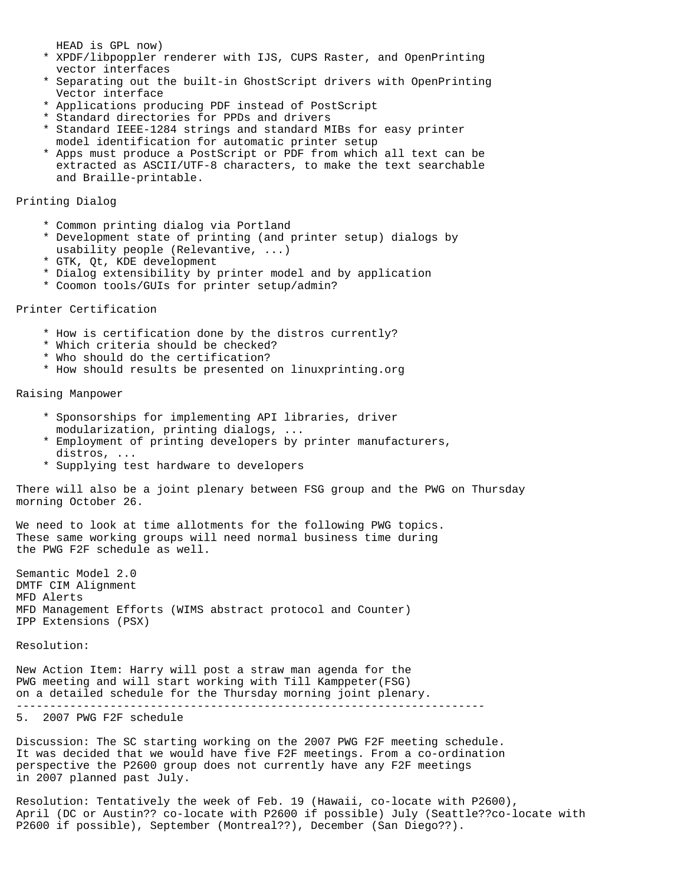HEAD is GPL now)

- \* XPDF/libpoppler renderer with IJS, CUPS Raster, and OpenPrinting vector interfaces
- \* Separating out the built-in GhostScript drivers with OpenPrinting Vector interface
- \* Applications producing PDF instead of PostScript
- \* Standard directories for PPDs and drivers
- \* Standard IEEE-1284 strings and standard MIBs for easy printer model identification for automatic printer setup
- \* Apps must produce a PostScript or PDF from which all text can be extracted as ASCII/UTF-8 characters, to make the text searchable and Braille-printable.

Printing Dialog

- \* Common printing dialog via Portland
- \* Development state of printing (and printer setup) dialogs by usability people (Relevantive, ...)
- \* GTK, Qt, KDE development
- \* Dialog extensibility by printer model and by application
- \* Coomon tools/GUIs for printer setup/admin?

## Printer Certification

- \* How is certification done by the distros currently?
- \* Which criteria should be checked?
- \* Who should do the certification?
- \* How should results be presented on linuxprinting.org

Raising Manpower

- \* Sponsorships for implementing API libraries, driver modularization, printing dialogs, ...
- \* Employment of printing developers by printer manufacturers, distros, ...
- \* Supplying test hardware to developers

There will also be a joint plenary between FSG group and the PWG on Thursday morning October 26.

We need to look at time allotments for the following PWG topics. These same working groups will need normal business time during the PWG F2F schedule as well.

Semantic Model 2.0 DMTF CIM Alignment MFD Alerts MFD Management Efforts (WIMS abstract protocol and Counter) IPP Extensions (PSX)

Resolution:

New Action Item: Harry will post a straw man agenda for the PWG meeting and will start working with Till Kamppeter(FSG) on a detailed schedule for the Thursday morning joint plenary. ----------------------------------------------------------------------

## 5. 2007 PWG F2F schedule

Discussion: The SC starting working on the 2007 PWG F2F meeting schedule. It was decided that we would have five F2F meetings. From a co-ordination perspective the P2600 group does not currently have any F2F meetings in 2007 planned past July.

Resolution: Tentatively the week of Feb. 19 (Hawaii, co-locate with P2600), April (DC or Austin?? co-locate with P2600 if possible) July (Seattle??co-locate with P2600 if possible), September (Montreal??), December (San Diego??).